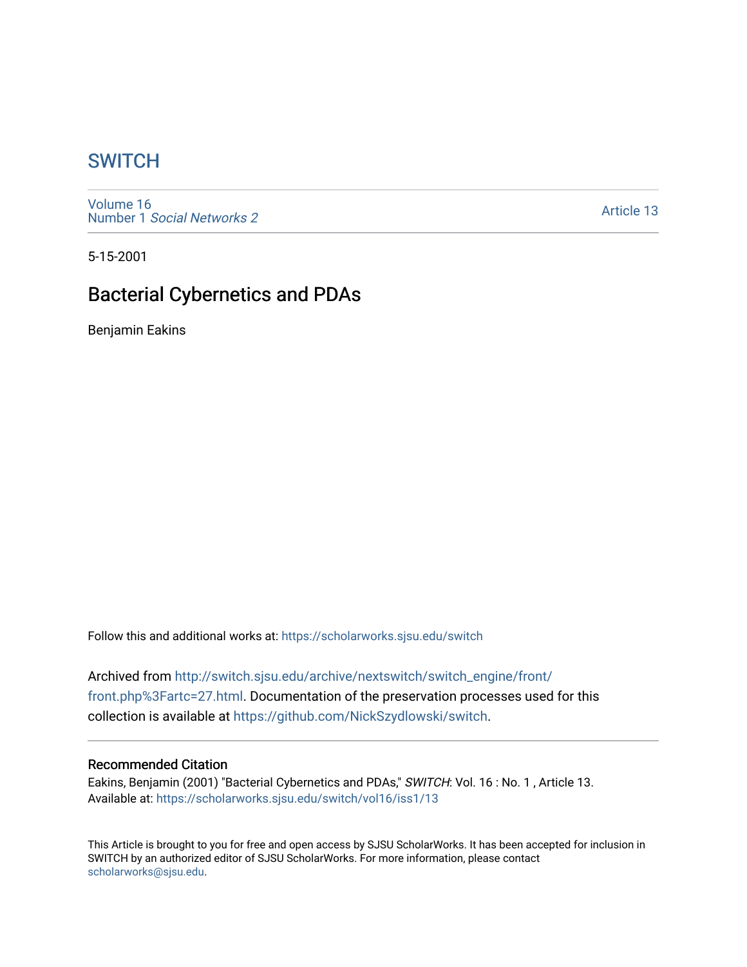## **SWITCH**

[Volume 16](https://scholarworks.sjsu.edu/switch/vol16) Number 1 [Social Networks 2](https://scholarworks.sjsu.edu/switch/vol16/iss1)

[Article 13](https://scholarworks.sjsu.edu/switch/vol16/iss1/13) 

5-15-2001

## Bacterial Cybernetics and PDAs

Benjamin Eakins

Follow this and additional works at: [https://scholarworks.sjsu.edu/switch](https://scholarworks.sjsu.edu/switch?utm_source=scholarworks.sjsu.edu%2Fswitch%2Fvol16%2Fiss1%2F13&utm_medium=PDF&utm_campaign=PDFCoverPages)

Archived from [http://switch.sjsu.edu/archive/nextswitch/switch\\_engine/front/](http://switch.sjsu.edu/archive/nextswitch/switch_engine/front/front.php%3Fartc=27.html) [front.php%3Fartc=27.html](http://switch.sjsu.edu/archive/nextswitch/switch_engine/front/front.php%3Fartc=27.html). Documentation of the preservation processes used for this collection is available at [https://github.com/NickSzydlowski/switch.](https://github.com/NickSzydlowski/switch)

#### Recommended Citation

Eakins, Benjamin (2001) "Bacterial Cybernetics and PDAs," SWITCH: Vol. 16: No. 1, Article 13. Available at: [https://scholarworks.sjsu.edu/switch/vol16/iss1/13](https://scholarworks.sjsu.edu/switch/vol16/iss1/13?utm_source=scholarworks.sjsu.edu%2Fswitch%2Fvol16%2Fiss1%2F13&utm_medium=PDF&utm_campaign=PDFCoverPages) 

This Article is brought to you for free and open access by SJSU ScholarWorks. It has been accepted for inclusion in SWITCH by an authorized editor of SJSU ScholarWorks. For more information, please contact [scholarworks@sjsu.edu](mailto:scholarworks@sjsu.edu).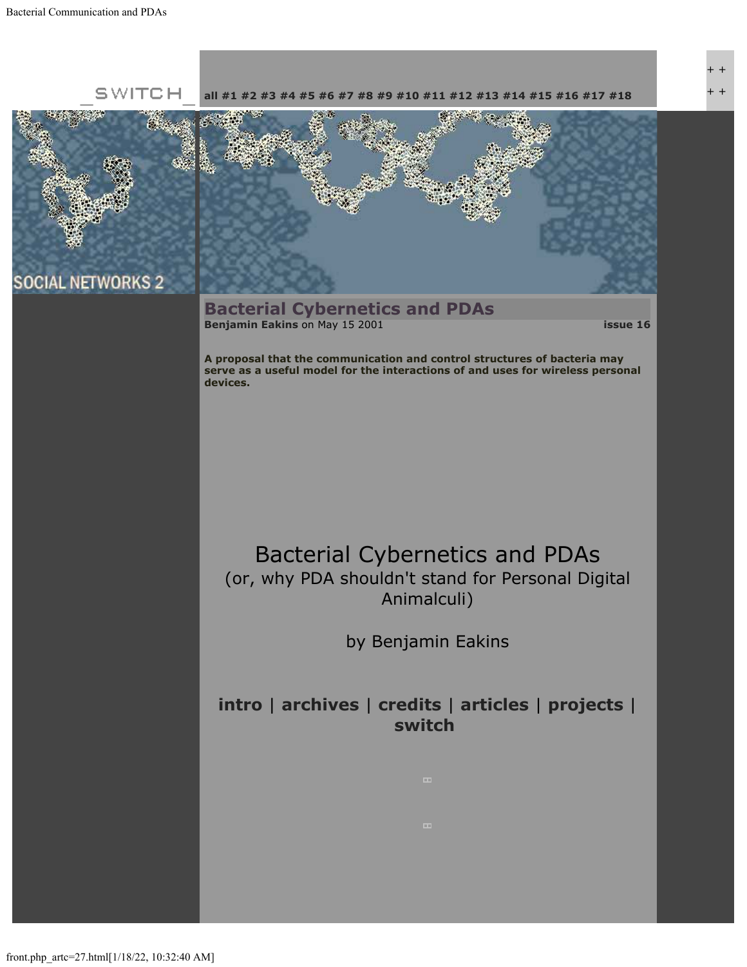

+ + + +